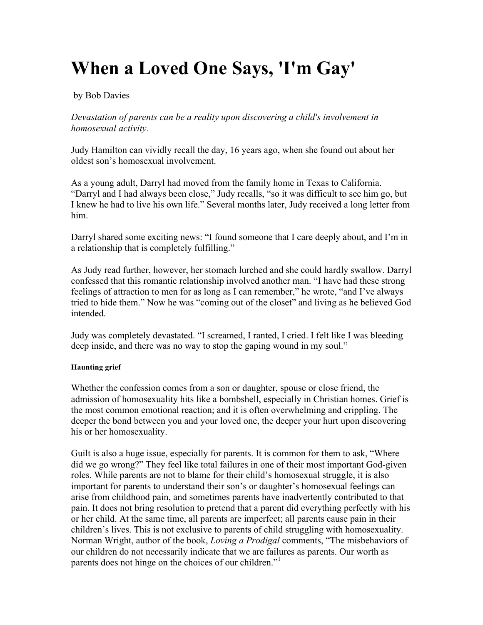# **When a Loved One Says, 'I'm Gay'**

# by Bob Davies

*Devastation of parents can be a reality upon discovering a child's involvement in homosexual activity.*

Judy Hamilton can vividly recall the day, 16 years ago, when she found out about her oldest son's homosexual involvement.

As a young adult, Darryl had moved from the family home in Texas to California. "Darryl and I had always been close," Judy recalls, "so it was difficult to see him go, but I knew he had to live his own life." Several months later, Judy received a long letter from him.

Darryl shared some exciting news: "I found someone that I care deeply about, and I'm in a relationship that is completely fulfilling."

As Judy read further, however, her stomach lurched and she could hardly swallow. Darryl confessed that this romantic relationship involved another man. "I have had these strong feelings of attraction to men for as long as I can remember," he wrote, "and I've always tried to hide them." Now he was "coming out of the closet" and living as he believed God intended.

Judy was completely devastated. "I screamed, I ranted, I cried. I felt like I was bleeding deep inside, and there was no way to stop the gaping wound in my soul."

# **Haunting grief**

Whether the confession comes from a son or daughter, spouse or close friend, the admission of homosexuality hits like a bombshell, especially in Christian homes. Grief is the most common emotional reaction; and it is often overwhelming and crippling. The deeper the bond between you and your loved one, the deeper your hurt upon discovering his or her homosexuality.

Guilt is also a huge issue, especially for parents. It is common for them to ask, "Where did we go wrong?" They feel like total failures in one of their most important God-given roles. While parents are not to blame for their child's homosexual struggle, it is also important for parents to understand their son's or daughter's homosexual feelings can arise from childhood pain, and sometimes parents have inadvertently contributed to that pain. It does not bring resolution to pretend that a parent did everything perfectly with his or her child. At the same time, all parents are imperfect; all parents cause pain in their children's lives. This is not exclusive to parents of child struggling with homosexuality. Norman Wright, author of the book, *Loving a Prodigal* comments, "The misbehaviors of our children do not necessarily indicate that we are failures as parents. Our worth as parents does not hinge on the choices of our children."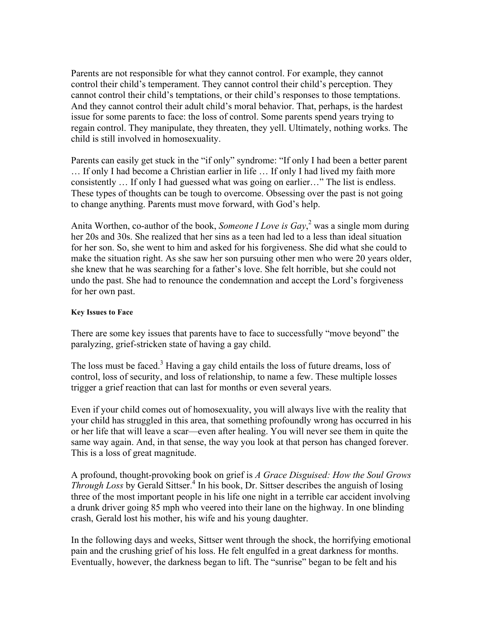Parents are not responsible for what they cannot control. For example, they cannot control their child's temperament. They cannot control their child's perception. They cannot control their child's temptations, or their child's responses to those temptations. And they cannot control their adult child's moral behavior. That, perhaps, is the hardest issue for some parents to face: the loss of control. Some parents spend years trying to regain control. They manipulate, they threaten, they yell. Ultimately, nothing works. The child is still involved in homosexuality.

Parents can easily get stuck in the "if only" syndrome: "If only I had been a better parent … If only I had become a Christian earlier in life … If only I had lived my faith more consistently … If only I had guessed what was going on earlier…" The list is endless. These types of thoughts can be tough to overcome. Obsessing over the past is not going to change anything. Parents must move forward, with God's help.

Anita Worthen, co-author of the book, *Someone I Love is Gay*,<sup>2</sup> was a single mom during her 20s and 30s. She realized that her sins as a teen had led to a less than ideal situation for her son. So, she went to him and asked for his forgiveness. She did what she could to make the situation right. As she saw her son pursuing other men who were 20 years older, she knew that he was searching for a father's love. She felt horrible, but she could not undo the past. She had to renounce the condemnation and accept the Lord's forgiveness for her own past.

# **Key Issues to Face**

There are some key issues that parents have to face to successfully "move beyond" the paralyzing, grief-stricken state of having a gay child.

The loss must be faced.<sup>3</sup> Having a gay child entails the loss of future dreams, loss of control, loss of security, and loss of relationship, to name a few. These multiple losses trigger a grief reaction that can last for months or even several years.

Even if your child comes out of homosexuality, you will always live with the reality that your child has struggled in this area, that something profoundly wrong has occurred in his or her life that will leave a scar—even after healing. You will never see them in quite the same way again. And, in that sense, the way you look at that person has changed forever. This is a loss of great magnitude.

A profound, thought-provoking book on grief is *A Grace Disguised: How the Soul Grows Through Loss* by Gerald Sittser.<sup>4</sup> In his book, Dr. Sittser describes the anguish of losing three of the most important people in his life one night in a terrible car accident involving a drunk driver going 85 mph who veered into their lane on the highway. In one blinding crash, Gerald lost his mother, his wife and his young daughter.

In the following days and weeks, Sittser went through the shock, the horrifying emotional pain and the crushing grief of his loss. He felt engulfed in a great darkness for months. Eventually, however, the darkness began to lift. The "sunrise" began to be felt and his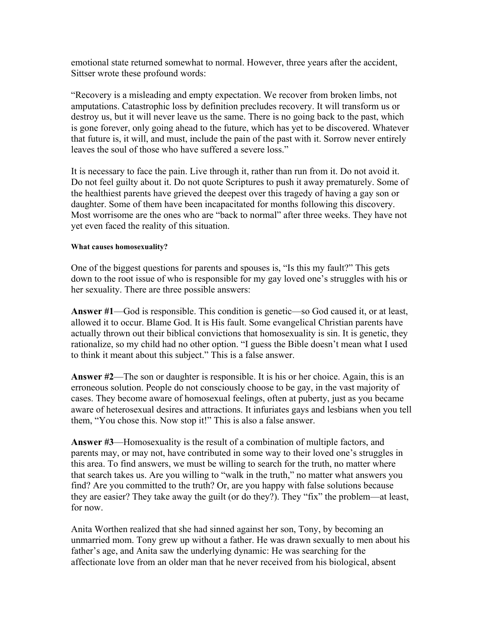emotional state returned somewhat to normal. However, three years after the accident, Sittser wrote these profound words:

"Recovery is a misleading and empty expectation. We recover from broken limbs, not amputations. Catastrophic loss by definition precludes recovery. It will transform us or destroy us, but it will never leave us the same. There is no going back to the past, which is gone forever, only going ahead to the future, which has yet to be discovered. Whatever that future is, it will, and must, include the pain of the past with it. Sorrow never entirely leaves the soul of those who have suffered a severe loss."

It is necessary to face the pain. Live through it, rather than run from it. Do not avoid it. Do not feel guilty about it. Do not quote Scriptures to push it away prematurely. Some of the healthiest parents have grieved the deepest over this tragedy of having a gay son or daughter. Some of them have been incapacitated for months following this discovery. Most worrisome are the ones who are "back to normal" after three weeks. They have not yet even faced the reality of this situation.

# **What causes homosexuality?**

One of the biggest questions for parents and spouses is, "Is this my fault?" This gets down to the root issue of who is responsible for my gay loved one's struggles with his or her sexuality. There are three possible answers:

**Answer #1**—God is responsible. This condition is genetic—so God caused it, or at least, allowed it to occur. Blame God. It is His fault. Some evangelical Christian parents have actually thrown out their biblical convictions that homosexuality is sin. It is genetic, they rationalize, so my child had no other option. "I guess the Bible doesn't mean what I used to think it meant about this subject." This is a false answer.

**Answer #2**—The son or daughter is responsible. It is his or her choice. Again, this is an erroneous solution. People do not consciously choose to be gay, in the vast majority of cases. They become aware of homosexual feelings, often at puberty, just as you became aware of heterosexual desires and attractions. It infuriates gays and lesbians when you tell them, "You chose this. Now stop it!" This is also a false answer.

**Answer #3**—Homosexuality is the result of a combination of multiple factors, and parents may, or may not, have contributed in some way to their loved one's struggles in this area. To find answers, we must be willing to search for the truth, no matter where that search takes us. Are you willing to "walk in the truth," no matter what answers you find? Are you committed to the truth? Or, are you happy with false solutions because they are easier? They take away the guilt (or do they?). They "fix" the problem—at least, for now.

Anita Worthen realized that she had sinned against her son, Tony, by becoming an unmarried mom. Tony grew up without a father. He was drawn sexually to men about his father's age, and Anita saw the underlying dynamic: He was searching for the affectionate love from an older man that he never received from his biological, absent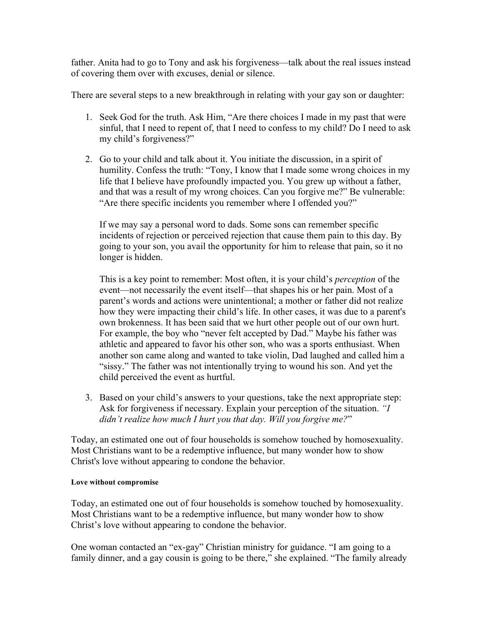father. Anita had to go to Tony and ask his forgiveness—talk about the real issues instead of covering them over with excuses, denial or silence.

There are several steps to a new breakthrough in relating with your gay son or daughter:

- 1. Seek God for the truth. Ask Him, "Are there choices I made in my past that were sinful, that I need to repent of, that I need to confess to my child? Do I need to ask my child's forgiveness?"
- 2. Go to your child and talk about it. You initiate the discussion, in a spirit of humility. Confess the truth: "Tony, I know that I made some wrong choices in my life that I believe have profoundly impacted you. You grew up without a father, and that was a result of my wrong choices. Can you forgive me?" Be vulnerable: "Are there specific incidents you remember where I offended you?"

If we may say a personal word to dads. Some sons can remember specific incidents of rejection or perceived rejection that cause them pain to this day. By going to your son, you avail the opportunity for him to release that pain, so it no longer is hidden.

This is a key point to remember: Most often, it is your child's *perception* of the event—not necessarily the event itself—that shapes his or her pain. Most of a parent's words and actions were unintentional; a mother or father did not realize how they were impacting their child's life. In other cases, it was due to a parent's own brokenness. It has been said that we hurt other people out of our own hurt. For example, the boy who "never felt accepted by Dad." Maybe his father was athletic and appeared to favor his other son, who was a sports enthusiast. When another son came along and wanted to take violin, Dad laughed and called him a "sissy." The father was not intentionally trying to wound his son. And yet the child perceived the event as hurtful.

3. Based on your child's answers to your questions, take the next appropriate step: Ask for forgiveness if necessary. Explain your perception of the situation. *"I didn't realize how much I hurt you that day. Will you forgive me?*"

Today, an estimated one out of four households is somehow touched by homosexuality. Most Christians want to be a redemptive influence, but many wonder how to show Christ's love without appearing to condone the behavior.

# **Love without compromise**

Today, an estimated one out of four households is somehow touched by homosexuality. Most Christians want to be a redemptive influence, but many wonder how to show Christ's love without appearing to condone the behavior.

One woman contacted an "ex-gay" Christian ministry for guidance. "I am going to a family dinner, and a gay cousin is going to be there," she explained. "The family already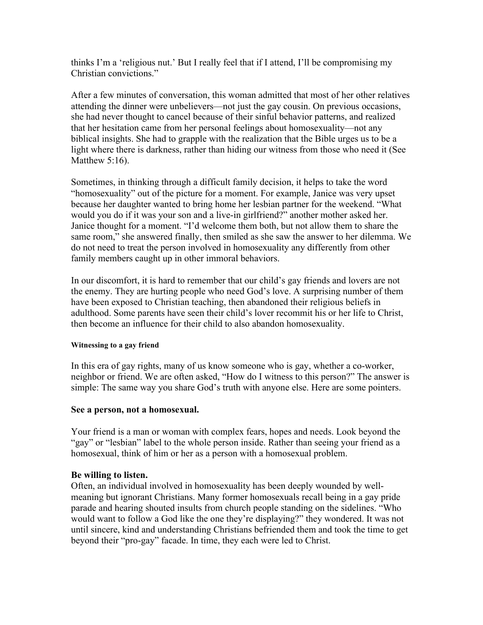thinks I'm a 'religious nut.' But I really feel that if I attend, I'll be compromising my Christian convictions."

After a few minutes of conversation, this woman admitted that most of her other relatives attending the dinner were unbelievers—not just the gay cousin. On previous occasions, she had never thought to cancel because of their sinful behavior patterns, and realized that her hesitation came from her personal feelings about homosexuality—not any biblical insights. She had to grapple with the realization that the Bible urges us to be a light where there is darkness, rather than hiding our witness from those who need it (See Matthew 5:16).

Sometimes, in thinking through a difficult family decision, it helps to take the word "homosexuality" out of the picture for a moment. For example, Janice was very upset because her daughter wanted to bring home her lesbian partner for the weekend. "What would you do if it was your son and a live-in girlfriend?" another mother asked her. Janice thought for a moment. "I'd welcome them both, but not allow them to share the same room," she answered finally, then smiled as she saw the answer to her dilemma. We do not need to treat the person involved in homosexuality any differently from other family members caught up in other immoral behaviors.

In our discomfort, it is hard to remember that our child's gay friends and lovers are not the enemy. They are hurting people who need God's love. A surprising number of them have been exposed to Christian teaching, then abandoned their religious beliefs in adulthood. Some parents have seen their child's lover recommit his or her life to Christ, then become an influence for their child to also abandon homosexuality.

# **Witnessing to a gay friend**

In this era of gay rights, many of us know someone who is gay, whether a co-worker, neighbor or friend. We are often asked, "How do I witness to this person?" The answer is simple: The same way you share God's truth with anyone else. Here are some pointers.

# **See a person, not a homosexual.**

Your friend is a man or woman with complex fears, hopes and needs. Look beyond the "gay" or "lesbian" label to the whole person inside. Rather than seeing your friend as a homosexual, think of him or her as a person with a homosexual problem.

# **Be willing to listen.**

Often, an individual involved in homosexuality has been deeply wounded by wellmeaning but ignorant Christians. Many former homosexuals recall being in a gay pride parade and hearing shouted insults from church people standing on the sidelines. "Who would want to follow a God like the one they're displaying?" they wondered. It was not until sincere, kind and understanding Christians befriended them and took the time to get beyond their "pro-gay" facade. In time, they each were led to Christ.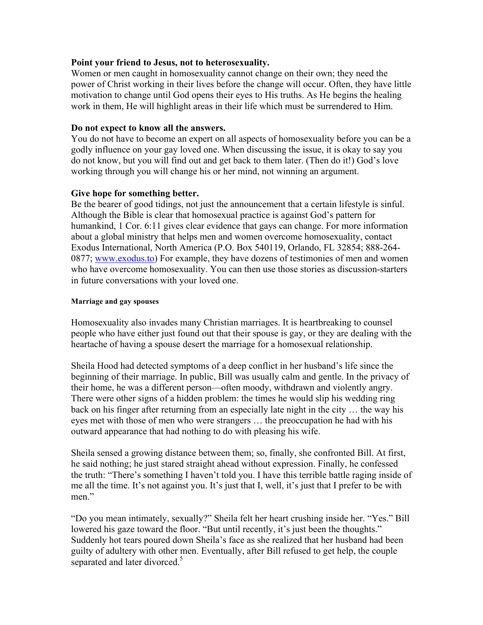# **Point your friend to Jesus, not to heterosexuality.**

Women or men caught in homosexuality cannot change on their own; they need the power of Christ working in their lives before the change will occur. Often, they have little motivation to change until God opens their eyes to His truths. As He begins the healing work in them, He will highlight areas in their life which must be surrendered to Him.

# **Do not expect to know all the answers.**

You do not have to become an expert on all aspects of homosexuality before you can be a godly influence on your gay loved one. When discussing the issue, it is okay to say you do not know, but you will find out and get back to them later. (Then do it!) God's love working through you will change his or her mind, not winning an argument.

# **Give hope for something better.**

Be the bearer of good tidings, not just the announcement that a certain lifestyle is sinful. Although the Bible is clear that homosexual practice is against God's pattern for humankind, 1 Cor. 6:11 gives clear evidence that gays can change. For more information about a global ministry that helps men and women overcome homosexuality, contact Exodus International, North America (P.O. Box 540119, Orlando, FL 32854; 888-264- 0877; www.exodus.to) For example, they have dozens of testimonies of men and women who have overcome homosexuality. You can then use those stories as discussion-starters in future conversations with your loved one.

# **Marriage and gay spouses**

Homosexuality also invades many Christian marriages. It is heartbreaking to counsel people who have either just found out that their spouse is gay, or they are dealing with the heartache of having a spouse desert the marriage for a homosexual relationship.

Sheila Hood had detected symptoms of a deep conflict in her husband's life since the beginning of their marriage. In public, Bill was usually calm and gentle. In the privacy of their home, he was a different person—often moody, withdrawn and violently angry. There were other signs of a hidden problem: the times he would slip his wedding ring back on his finger after returning from an especially late night in the city … the way his eyes met with those of men who were strangers … the preoccupation he had with his outward appearance that had nothing to do with pleasing his wife.

Sheila sensed a growing distance between them; so, finally, she confronted Bill. At first, he said nothing; he just stared straight ahead without expression. Finally, he confessed the truth: "There's something I haven't told you. I have this terrible battle raging inside of me all the time. It's not against you. It's just that I, well, it's just that I prefer to be with men."

"Do you mean intimately, sexually?" Sheila felt her heart crushing inside her. "Yes." Bill lowered his gaze toward the floor. "But until recently, it's just been the thoughts." Suddenly hot tears poured down Sheila's face as she realized that her husband had been guilty of adultery with other men. Eventually, after Bill refused to get help, the couple separated and later divorced.<sup>5</sup>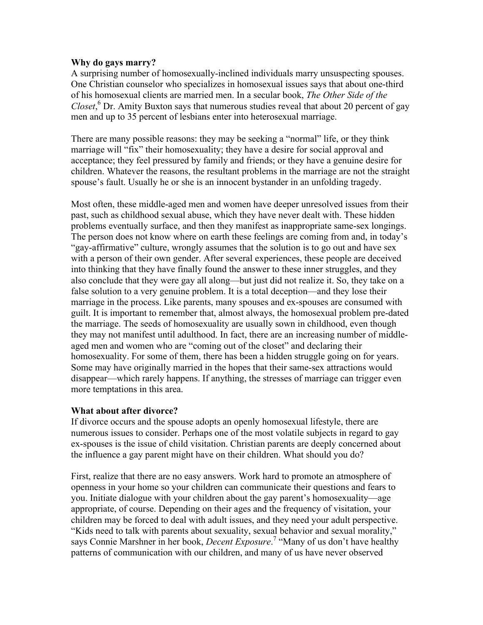# **Why do gays marry?**

A surprising number of homosexually-inclined individuals marry unsuspecting spouses. One Christian counselor who specializes in homosexual issues says that about one-third of his homosexual clients are married men. In a secular book, *The Other Side of the*  Closet,<sup>6</sup> Dr. Amity Buxton says that numerous studies reveal that about 20 percent of gay men and up to 35 percent of lesbians enter into heterosexual marriage.

There are many possible reasons: they may be seeking a "normal" life, or they think marriage will "fix" their homosexuality; they have a desire for social approval and acceptance; they feel pressured by family and friends; or they have a genuine desire for children. Whatever the reasons, the resultant problems in the marriage are not the straight spouse's fault. Usually he or she is an innocent bystander in an unfolding tragedy.

Most often, these middle-aged men and women have deeper unresolved issues from their past, such as childhood sexual abuse, which they have never dealt with. These hidden problems eventually surface, and then they manifest as inappropriate same-sex longings. The person does not know where on earth these feelings are coming from and, in today's "gay-affirmative" culture, wrongly assumes that the solution is to go out and have sex with a person of their own gender. After several experiences, these people are deceived into thinking that they have finally found the answer to these inner struggles, and they also conclude that they were gay all along—but just did not realize it. So, they take on a false solution to a very genuine problem. It is a total deception—and they lose their marriage in the process. Like parents, many spouses and ex-spouses are consumed with guilt. It is important to remember that, almost always, the homosexual problem pre-dated the marriage. The seeds of homosexuality are usually sown in childhood, even though they may not manifest until adulthood. In fact, there are an increasing number of middleaged men and women who are "coming out of the closet" and declaring their homosexuality. For some of them, there has been a hidden struggle going on for years. Some may have originally married in the hopes that their same-sex attractions would disappear—which rarely happens. If anything, the stresses of marriage can trigger even more temptations in this area.

# **What about after divorce?**

If divorce occurs and the spouse adopts an openly homosexual lifestyle, there are numerous issues to consider. Perhaps one of the most volatile subjects in regard to gay ex-spouses is the issue of child visitation. Christian parents are deeply concerned about the influence a gay parent might have on their children. What should you do?

First, realize that there are no easy answers. Work hard to promote an atmosphere of openness in your home so your children can communicate their questions and fears to you. Initiate dialogue with your children about the gay parent's homosexuality—age appropriate, of course. Depending on their ages and the frequency of visitation, your children may be forced to deal with adult issues, and they need your adult perspective. "Kids need to talk with parents about sexuality, sexual behavior and sexual morality," says Connie Marshner in her book, *Decent Exposure*.<sup>7</sup> "Many of us don't have healthy patterns of communication with our children, and many of us have never observed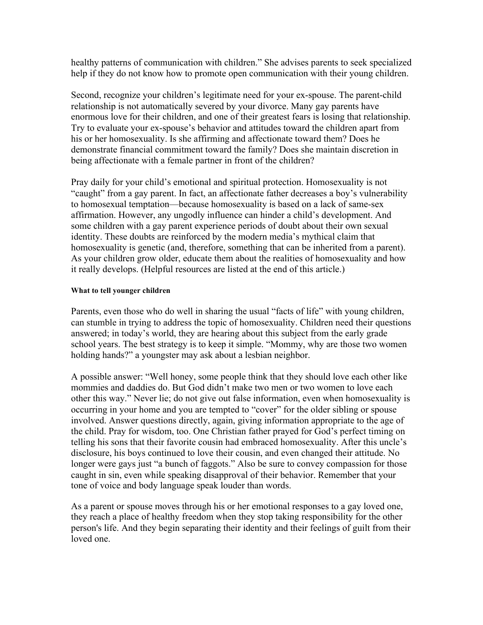healthy patterns of communication with children." She advises parents to seek specialized help if they do not know how to promote open communication with their young children.

Second, recognize your children's legitimate need for your ex-spouse. The parent-child relationship is not automatically severed by your divorce. Many gay parents have enormous love for their children, and one of their greatest fears is losing that relationship. Try to evaluate your ex-spouse's behavior and attitudes toward the children apart from his or her homosexuality. Is she affirming and affectionate toward them? Does he demonstrate financial commitment toward the family? Does she maintain discretion in being affectionate with a female partner in front of the children?

Pray daily for your child's emotional and spiritual protection. Homosexuality is not "caught" from a gay parent. In fact, an affectionate father decreases a boy's vulnerability to homosexual temptation—because homosexuality is based on a lack of same-sex affirmation. However, any ungodly influence can hinder a child's development. And some children with a gay parent experience periods of doubt about their own sexual identity. These doubts are reinforced by the modern media's mythical claim that homosexuality is genetic (and, therefore, something that can be inherited from a parent). As your children grow older, educate them about the realities of homosexuality and how it really develops. (Helpful resources are listed at the end of this article.)

#### **What to tell younger children**

Parents, even those who do well in sharing the usual "facts of life" with young children, can stumble in trying to address the topic of homosexuality. Children need their questions answered; in today's world, they are hearing about this subject from the early grade school years. The best strategy is to keep it simple. "Mommy, why are those two women holding hands?" a youngster may ask about a lesbian neighbor.

A possible answer: "Well honey, some people think that they should love each other like mommies and daddies do. But God didn't make two men or two women to love each other this way." Never lie; do not give out false information, even when homosexuality is occurring in your home and you are tempted to "cover" for the older sibling or spouse involved. Answer questions directly, again, giving information appropriate to the age of the child. Pray for wisdom, too. One Christian father prayed for God's perfect timing on telling his sons that their favorite cousin had embraced homosexuality. After this uncle's disclosure, his boys continued to love their cousin, and even changed their attitude. No longer were gays just "a bunch of faggots." Also be sure to convey compassion for those caught in sin, even while speaking disapproval of their behavior. Remember that your tone of voice and body language speak louder than words.

As a parent or spouse moves through his or her emotional responses to a gay loved one, they reach a place of healthy freedom when they stop taking responsibility for the other person's life. And they begin separating their identity and their feelings of guilt from their loved one.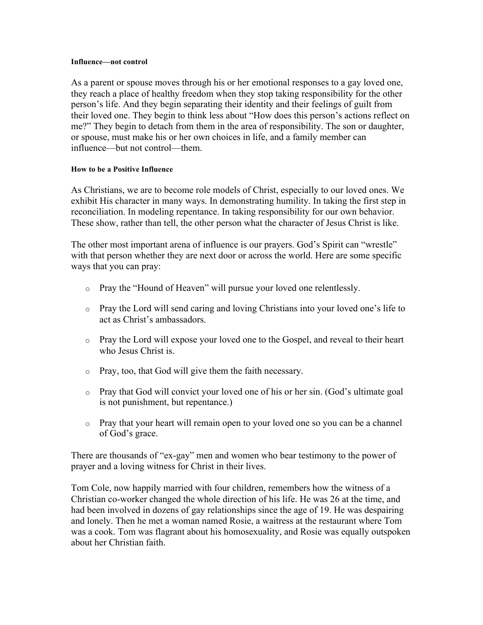#### **Influence—not control**

As a parent or spouse moves through his or her emotional responses to a gay loved one, they reach a place of healthy freedom when they stop taking responsibility for the other person's life. And they begin separating their identity and their feelings of guilt from their loved one. They begin to think less about "How does this person's actions reflect on me?" They begin to detach from them in the area of responsibility. The son or daughter, or spouse, must make his or her own choices in life, and a family member can influence—but not control—them.

#### **How to be a Positive Influence**

As Christians, we are to become role models of Christ, especially to our loved ones. We exhibit His character in many ways. In demonstrating humility. In taking the first step in reconciliation. In modeling repentance. In taking responsibility for our own behavior. These show, rather than tell, the other person what the character of Jesus Christ is like.

The other most important arena of influence is our prayers. God's Spirit can "wrestle" with that person whether they are next door or across the world. Here are some specific ways that you can pray:

- o Pray the "Hound of Heaven" will pursue your loved one relentlessly.
- o Pray the Lord will send caring and loving Christians into your loved one's life to act as Christ's ambassadors.
- o Pray the Lord will expose your loved one to the Gospel, and reveal to their heart who Jesus Christ is.
- o Pray, too, that God will give them the faith necessary.
- o Pray that God will convict your loved one of his or her sin. (God's ultimate goal is not punishment, but repentance.)
- o Pray that your heart will remain open to your loved one so you can be a channel of God's grace.

There are thousands of "ex-gay" men and women who bear testimony to the power of prayer and a loving witness for Christ in their lives.

Tom Cole, now happily married with four children, remembers how the witness of a Christian co-worker changed the whole direction of his life. He was 26 at the time, and had been involved in dozens of gay relationships since the age of 19. He was despairing and lonely. Then he met a woman named Rosie, a waitress at the restaurant where Tom was a cook. Tom was flagrant about his homosexuality, and Rosie was equally outspoken about her Christian faith.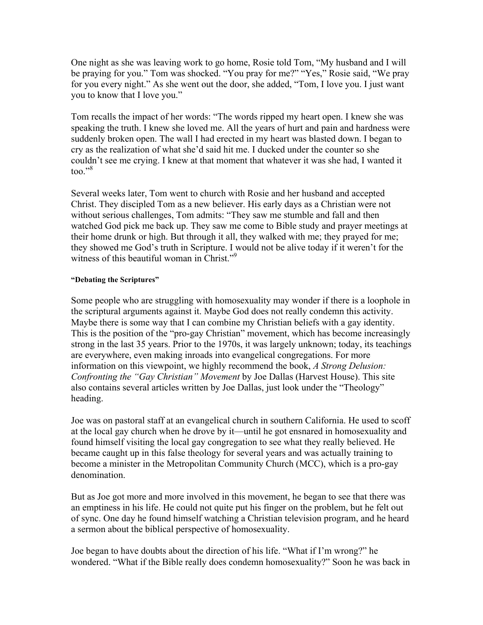One night as she was leaving work to go home, Rosie told Tom, "My husband and I will be praying for you." Tom was shocked. "You pray for me?" "Yes," Rosie said, "We pray for you every night." As she went out the door, she added, "Tom, I love you. I just want you to know that I love you."

Tom recalls the impact of her words: "The words ripped my heart open. I knew she was speaking the truth. I knew she loved me. All the years of hurt and pain and hardness were suddenly broken open. The wall I had erected in my heart was blasted down. I began to cry as the realization of what she'd said hit me. I ducked under the counter so she couldn't see me crying. I knew at that moment that whatever it was she had, I wanted it too $\cdot$ <sup>38</sup>

Several weeks later, Tom went to church with Rosie and her husband and accepted Christ. They discipled Tom as a new believer. His early days as a Christian were not without serious challenges, Tom admits: "They saw me stumble and fall and then watched God pick me back up. They saw me come to Bible study and prayer meetings at their home drunk or high. But through it all, they walked with me; they prayed for me; they showed me God's truth in Scripture. I would not be alive today if it weren't for the witness of this beautiful woman in Christ."<sup>9</sup>

#### **"Debating the Scriptures"**

Some people who are struggling with homosexuality may wonder if there is a loophole in the scriptural arguments against it. Maybe God does not really condemn this activity. Maybe there is some way that I can combine my Christian beliefs with a gay identity. This is the position of the "pro-gay Christian" movement, which has become increasingly strong in the last 35 years. Prior to the 1970s, it was largely unknown; today, its teachings are everywhere, even making inroads into evangelical congregations. For more information on this viewpoint, we highly recommend the book, *A Strong Delusion: Confronting the "Gay Christian" Movement* by Joe Dallas (Harvest House). This site also contains several articles written by Joe Dallas, just look under the "Theology" heading.

Joe was on pastoral staff at an evangelical church in southern California. He used to scoff at the local gay church when he drove by it—until he got ensnared in homosexuality and found himself visiting the local gay congregation to see what they really believed. He became caught up in this false theology for several years and was actually training to become a minister in the Metropolitan Community Church (MCC), which is a pro-gay denomination.

But as Joe got more and more involved in this movement, he began to see that there was an emptiness in his life. He could not quite put his finger on the problem, but he felt out of sync. One day he found himself watching a Christian television program, and he heard a sermon about the biblical perspective of homosexuality.

Joe began to have doubts about the direction of his life. "What if I'm wrong?" he wondered. "What if the Bible really does condemn homosexuality?" Soon he was back in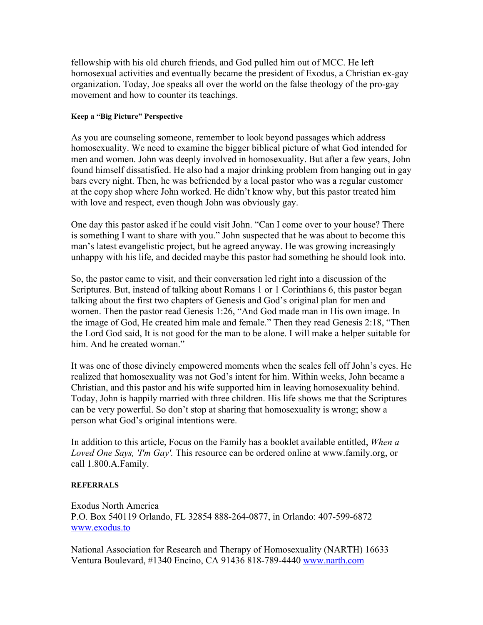fellowship with his old church friends, and God pulled him out of MCC. He left homosexual activities and eventually became the president of Exodus, a Christian ex-gay organization. Today, Joe speaks all over the world on the false theology of the pro-gay movement and how to counter its teachings.

# **Keep a "Big Picture" Perspective**

As you are counseling someone, remember to look beyond passages which address homosexuality. We need to examine the bigger biblical picture of what God intended for men and women. John was deeply involved in homosexuality. But after a few years, John found himself dissatisfied. He also had a major drinking problem from hanging out in gay bars every night. Then, he was befriended by a local pastor who was a regular customer at the copy shop where John worked. He didn't know why, but this pastor treated him with love and respect, even though John was obviously gay.

One day this pastor asked if he could visit John. "Can I come over to your house? There is something I want to share with you." John suspected that he was about to become this man's latest evangelistic project, but he agreed anyway. He was growing increasingly unhappy with his life, and decided maybe this pastor had something he should look into.

So, the pastor came to visit, and their conversation led right into a discussion of the Scriptures. But, instead of talking about Romans 1 or 1 Corinthians 6, this pastor began talking about the first two chapters of Genesis and God's original plan for men and women. Then the pastor read Genesis 1:26, "And God made man in His own image. In the image of God, He created him male and female." Then they read Genesis 2:18, "Then the Lord God said, It is not good for the man to be alone. I will make a helper suitable for him. And he created woman."

It was one of those divinely empowered moments when the scales fell off John's eyes. He realized that homosexuality was not God's intent for him. Within weeks, John became a Christian, and this pastor and his wife supported him in leaving homosexuality behind. Today, John is happily married with three children. His life shows me that the Scriptures can be very powerful. So don't stop at sharing that homosexuality is wrong; show a person what God's original intentions were.

In addition to this article, Focus on the Family has a booklet available entitled, *When a Loved One Says, 'I'm Gay'.* This resource can be ordered online at www.family.org, or call 1.800.A.Family.

# **REFERRALS**

Exodus North America P.O. Box 540119 Orlando, FL 32854 888-264-0877, in Orlando: 407-599-6872 www.exodus.to

National Association for Research and Therapy of Homosexuality (NARTH) 16633 Ventura Boulevard, #1340 Encino, CA 91436 818-789-4440 www.narth.com